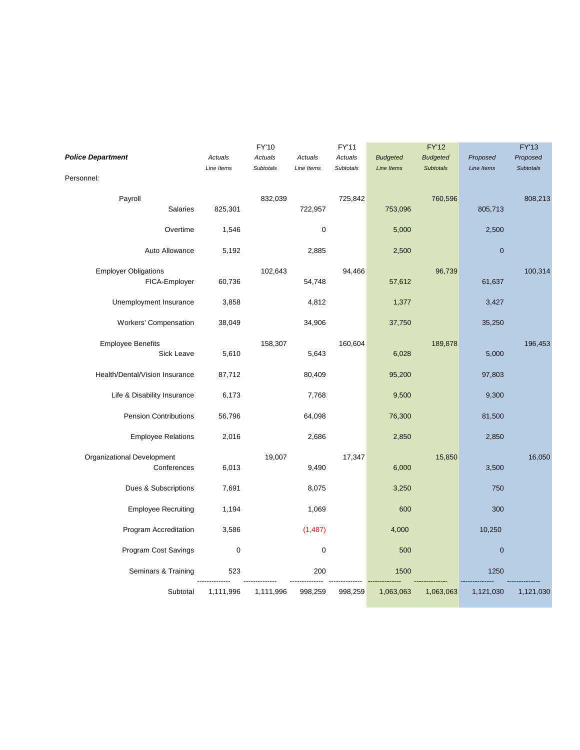|                                |                              | Actuals     | <b>FY'10</b>         |                       | FY'11                |                               | <b>FY'12</b>                        |                        | <b>FY'13</b>                 |
|--------------------------------|------------------------------|-------------|----------------------|-----------------------|----------------------|-------------------------------|-------------------------------------|------------------------|------------------------------|
| <b>Police Department</b>       |                              | Line Items  | Actuals<br>Subtotals | Actuals<br>Line Items | Actuals<br>Subtotals | <b>Budgeted</b><br>Line Items | <b>Budgeted</b><br><b>Subtotals</b> | Proposed<br>Line Items | Proposed<br><b>Subtotals</b> |
| Personnel:                     |                              |             |                      |                       |                      |                               |                                     |                        |                              |
| Payroll                        | <b>Salaries</b>              | 825,301     | 832,039              | 722,957               | 725,842              | 753,096                       | 760,596                             | 805,713                | 808,213                      |
|                                | Overtime                     | 1,546       |                      | 0                     |                      | 5,000                         |                                     | 2,500                  |                              |
|                                | Auto Allowance               | 5,192       |                      | 2,885                 |                      | 2,500                         |                                     | $\bf 0$                |                              |
| <b>Employer Obligations</b>    | FICA-Employer                | 60,736      | 102,643              | 54,748                | 94,466               | 57,612                        | 96,739                              | 61,637                 | 100,314                      |
| Unemployment Insurance         |                              | 3,858       |                      | 4,812                 |                      | 1,377                         |                                     | 3,427                  |                              |
| <b>Workers' Compensation</b>   |                              | 38,049      |                      | 34,906                |                      | 37,750                        |                                     | 35,250                 |                              |
| <b>Employee Benefits</b>       | Sick Leave                   | 5,610       | 158,307              | 5,643                 | 160,604              | 6,028                         | 189,878                             | 5,000                  | 196,453                      |
| Health/Dental/Vision Insurance |                              | 87,712      |                      | 80,409                |                      | 95,200                        |                                     | 97,803                 |                              |
| Life & Disability Insurance    |                              | 6,173       |                      | 7,768                 |                      | 9,500                         |                                     | 9,300                  |                              |
|                                | <b>Pension Contributions</b> | 56,796      |                      | 64,098                |                      | 76,300                        |                                     | 81,500                 |                              |
|                                | <b>Employee Relations</b>    | 2,016       |                      | 2,686                 |                      | 2,850                         |                                     | 2,850                  |                              |
| Organizational Development     | Conferences                  | 6,013       | 19,007               | 9,490                 | 17,347               | 6,000                         | 15,850                              | 3,500                  | 16,050                       |
|                                | Dues & Subscriptions         | 7,691       |                      | 8,075                 |                      | 3,250                         |                                     | 750                    |                              |
|                                | <b>Employee Recruiting</b>   | 1,194       |                      | 1,069                 |                      | 600                           |                                     | 300                    |                              |
|                                | Program Accreditation        | 3,586       |                      | (1, 487)              |                      | 4,000                         |                                     | 10,250                 |                              |
| Program Cost Savings           |                              | $\mathbf 0$ |                      | 0                     |                      | 500                           |                                     | $\bf 0$                |                              |
|                                | Seminars & Training          | 523         |                      | 200                   |                      | 1500                          |                                     | 1250                   |                              |
|                                | Subtotal                     | 1,111,996   | 1,111,996            | 998,259               | 998,259              | 1,063,063                     | 1,063,063                           | 1,121,030              | 1,121,030                    |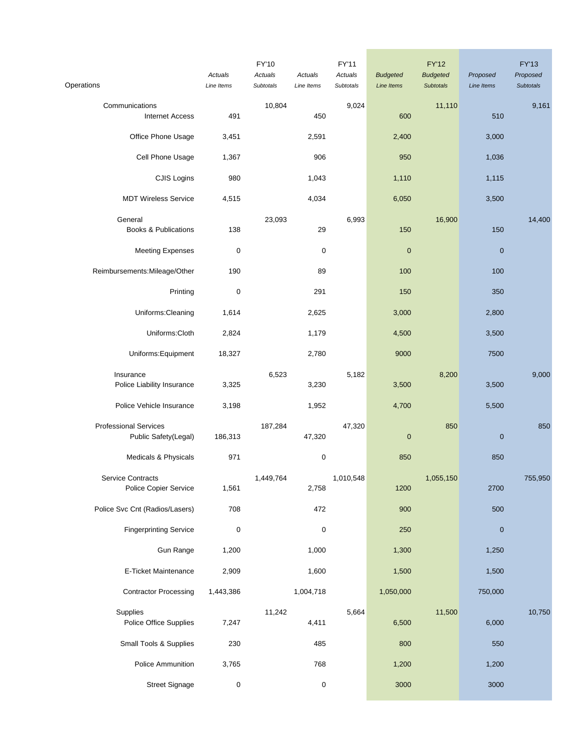| Operations                                           | Actuals<br>Line Items | FY'10<br>Actuals<br>Subtotals | Actuals<br>Line Items | FY'11<br>Actuals<br>Subtotals | <b>Budgeted</b><br>Line Items | <b>FY'12</b><br><b>Budgeted</b><br><b>Subtotals</b> | Proposed<br>Line Items | <b>FY'13</b><br>Proposed<br><b>Subtotals</b> |
|------------------------------------------------------|-----------------------|-------------------------------|-----------------------|-------------------------------|-------------------------------|-----------------------------------------------------|------------------------|----------------------------------------------|
| Communications<br><b>Internet Access</b>             | 491                   | 10,804                        | 450                   | 9,024                         | 600                           | 11,110                                              | 510                    | 9,161                                        |
| Office Phone Usage                                   | 3,451                 |                               | 2,591                 |                               | 2,400                         |                                                     | 3,000                  |                                              |
| Cell Phone Usage                                     | 1,367                 |                               | 906                   |                               | 950                           |                                                     | 1,036                  |                                              |
| CJIS Logins                                          | 980                   |                               | 1,043                 |                               | 1,110                         |                                                     | 1,115                  |                                              |
| <b>MDT Wireless Service</b>                          | 4,515                 |                               | 4,034                 |                               | 6,050                         |                                                     | 3,500                  |                                              |
| General<br><b>Books &amp; Publications</b>           | 138                   | 23,093                        | 29                    | 6,993                         | 150                           | 16,900                                              | 150                    | 14,400                                       |
| <b>Meeting Expenses</b>                              | 0                     |                               | 0                     |                               | $\mathbf 0$                   |                                                     | $\pmb{0}$              |                                              |
| Reimbursements: Mileage/Other                        | 190                   |                               | 89                    |                               | 100                           |                                                     | 100                    |                                              |
| Printing                                             | $\mathbf 0$           |                               | 291                   |                               | 150                           |                                                     | 350                    |                                              |
| Uniforms: Cleaning                                   | 1,614                 |                               | 2,625                 |                               | 3,000                         |                                                     | 2,800                  |                                              |
| Uniforms: Cloth                                      | 2,824                 |                               | 1,179                 |                               | 4,500                         |                                                     | 3,500                  |                                              |
| Uniforms: Equipment                                  | 18,327                |                               | 2,780                 |                               | 9000                          |                                                     | 7500                   |                                              |
| Insurance<br>Police Liability Insurance              | 3,325                 | 6,523                         | 3,230                 | 5,182                         | 3,500                         | 8,200                                               | 3,500                  | 9,000                                        |
| Police Vehicle Insurance                             | 3,198                 |                               | 1,952                 |                               | 4,700                         |                                                     | 5,500                  |                                              |
| <b>Professional Services</b><br>Public Safety(Legal) | 186,313               | 187,284                       | 47,320                | 47,320                        | $\pmb{0}$                     | 850                                                 | $\pmb{0}$              | 850                                          |
| Medicals & Physicals                                 | 971                   |                               | $\pmb{0}$             |                               | 850                           |                                                     | 850                    |                                              |
| Service Contracts<br>Police Copier Service           | 1,561                 | 1,449,764                     | 2,758                 | 1,010,548                     | 1200                          | 1,055,150                                           | 2700                   | 755,950                                      |
| Police Svc Cnt (Radios/Lasers)                       | 708                   |                               | 472                   |                               | 900                           |                                                     | 500                    |                                              |
| <b>Fingerprinting Service</b>                        | $\pmb{0}$             |                               | 0                     |                               | 250                           |                                                     | $\pmb{0}$              |                                              |
| Gun Range                                            | 1,200                 |                               | 1,000                 |                               | 1,300                         |                                                     | 1,250                  |                                              |
| E-Ticket Maintenance                                 | 2,909                 |                               | 1,600                 |                               | 1,500                         |                                                     | 1,500                  |                                              |
| <b>Contractor Processing</b>                         | 1,443,386             |                               | 1,004,718             |                               | 1,050,000                     |                                                     | 750,000                |                                              |
| Supplies<br>Police Office Supplies                   | 7,247                 | 11,242                        | 4,411                 | 5,664                         | 6,500                         | 11,500                                              | 6,000                  | 10,750                                       |
| Small Tools & Supplies                               | 230                   |                               | 485                   |                               | 800                           |                                                     | 550                    |                                              |
| Police Ammunition                                    | 3,765                 |                               | 768                   |                               | 1,200                         |                                                     | 1,200                  |                                              |
| <b>Street Signage</b>                                | $\pmb{0}$             |                               | 0                     |                               | 3000                          |                                                     | 3000                   |                                              |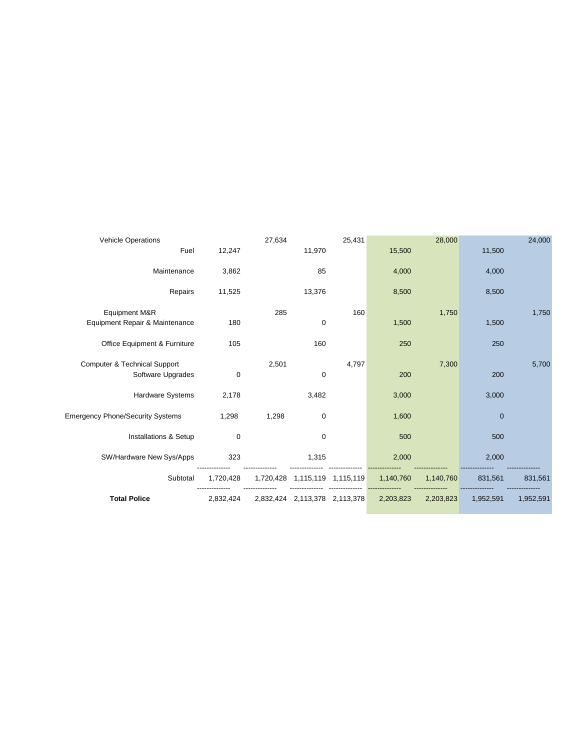| <b>Vehicle Operations</b>               |             | 27,634    |                               | 25,431 |           | 28,000    |             | 24,000    |
|-----------------------------------------|-------------|-----------|-------------------------------|--------|-----------|-----------|-------------|-----------|
| Fuel                                    | 12,247      |           | 11,970                        |        | 15,500    |           | 11,500      |           |
| Maintenance                             | 3,862       |           | 85                            |        | 4,000     |           | 4,000       |           |
| Repairs                                 | 11,525      |           | 13,376                        |        | 8,500     |           | 8,500       |           |
| Equipment M&R                           |             | 285       |                               | 160    |           | 1,750     |             | 1,750     |
| Equipment Repair & Maintenance          | 180         |           | $\mathbf 0$                   |        | 1,500     |           | 1,500       |           |
| Office Equipment & Furniture            | 105         |           | 160                           |        | 250       |           | 250         |           |
| <b>Computer &amp; Technical Support</b> |             | 2,501     |                               | 4,797  |           | 7,300     |             | 5,700     |
| Software Upgrades                       | $\mathbf 0$ |           | 0                             |        | 200       |           | 200         |           |
| Hardware Systems                        | 2,178       |           | 3,482                         |        | 3,000     |           | 3,000       |           |
| <b>Emergency Phone/Security Systems</b> | 1,298       | 1,298     | 0                             |        | 1,600     |           | $\mathbf 0$ |           |
| Installations & Setup                   | 0           |           | 0                             |        | 500       |           | 500         |           |
| SW/Hardware New Sys/Apps                | 323         |           | 1,315                         |        | 2,000     |           | 2,000       |           |
| Subtotal                                | 1,720,428   | 1,720,428 | 1,115,119 1,115,119           |        | 1,140,760 | 1,140,760 | 831.561     | 831,561   |
| <b>Total Police</b>                     | 2,832,424   |           | 2,832,424 2,113,378 2,113,378 |        | 2,203,823 | 2,203,823 | 1,952,591   | 1,952,591 |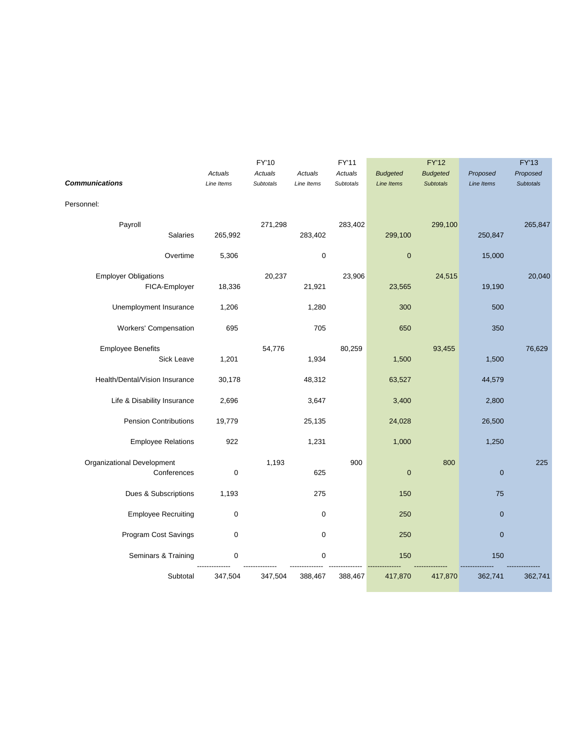|                                |             | FY'10     |             | FY'11     |                   | <b>FY'12</b>     |              | <b>FY'13</b>     |
|--------------------------------|-------------|-----------|-------------|-----------|-------------------|------------------|--------------|------------------|
|                                | Actuals     | Actuals   | Actuals     | Actuals   | <b>Budgeted</b>   | <b>Budgeted</b>  | Proposed     | Proposed         |
| <b>Communications</b>          | Line Items  | Subtotals | Line Items  | Subtotals | <b>Line Items</b> | <b>Subtotals</b> | Line Items   | <b>Subtotals</b> |
| Personnel:                     |             |           |             |           |                   |                  |              |                  |
| Payroll                        |             | 271,298   |             | 283,402   |                   | 299,100          |              | 265,847          |
| <b>Salaries</b>                | 265,992     |           | 283,402     |           | 299,100           |                  | 250,847      |                  |
| Overtime                       | 5,306       |           | $\pmb{0}$   |           | $\mathbf 0$       |                  | 15,000       |                  |
| <b>Employer Obligations</b>    |             | 20,237    |             | 23,906    |                   | 24,515           |              | 20,040           |
| FICA-Employer                  | 18,336      |           | 21,921      |           | 23,565            |                  | 19,190       |                  |
| Unemployment Insurance         | 1,206       |           | 1,280       |           | 300               |                  | 500          |                  |
| <b>Workers' Compensation</b>   | 695         |           | 705         |           | 650               |                  | 350          |                  |
| <b>Employee Benefits</b>       |             | 54,776    |             | 80,259    |                   | 93,455           |              | 76,629           |
| Sick Leave                     | 1,201       |           | 1,934       |           | 1,500             |                  | 1,500        |                  |
| Health/Dental/Vision Insurance | 30,178      |           | 48,312      |           | 63,527            |                  | 44,579       |                  |
| Life & Disability Insurance    | 2,696       |           | 3,647       |           | 3,400             |                  | 2,800        |                  |
| <b>Pension Contributions</b>   | 19,779      |           | 25,135      |           | 24,028            |                  | 26,500       |                  |
| <b>Employee Relations</b>      | 922         |           | 1,231       |           | 1,000             |                  | 1,250        |                  |
| Organizational Development     |             | 1,193     |             | 900       |                   | 800              |              | 225              |
| Conferences                    | $\mathbf 0$ |           | 625         |           | $\mathbf 0$       |                  | $\pmb{0}$    |                  |
| Dues & Subscriptions           | 1,193       |           | 275         |           | 150               |                  | 75           |                  |
| <b>Employee Recruiting</b>     | 0           |           | $\mathbf 0$ |           | 250               |                  | $\mathbf{0}$ |                  |
| Program Cost Savings           | $\pmb{0}$   |           | $\mathbf 0$ |           | 250               |                  | $\mathbf 0$  |                  |
| Seminars & Training            | 0           |           | 0           |           | 150               |                  | 150          |                  |
| Subtotal                       | 347,504     | 347,504   | 388,467     | 388,467   | 417,870           | 417,870          | 362,741      | 362,741          |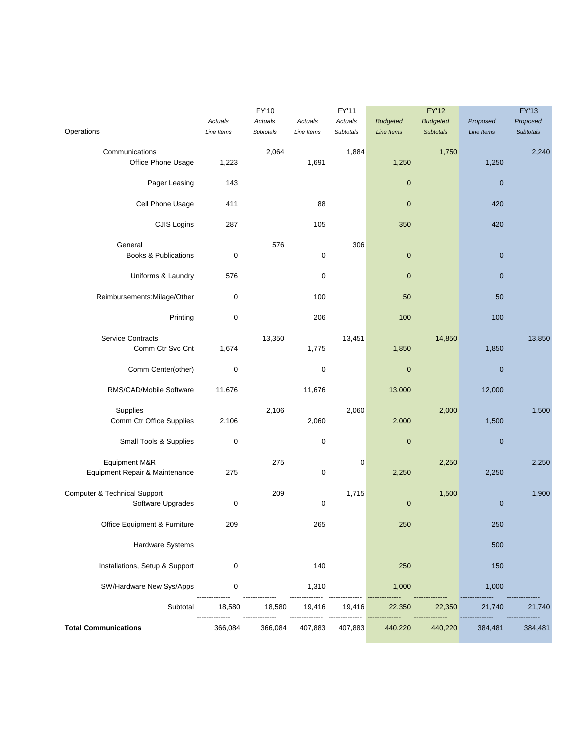|                                                   | Actuals     | <b>FY'10</b><br>Actuals | Actuals    | FY'11<br>Actuals | <b>Budgeted</b>   | <b>FY'12</b><br><b>Budgeted</b> | Proposed   | <b>FY'13</b><br>Proposed |
|---------------------------------------------------|-------------|-------------------------|------------|------------------|-------------------|---------------------------------|------------|--------------------------|
| Operations                                        | Line Items  | Subtotals               | Line Items | Subtotals        | <b>Line Items</b> | <b>Subtotals</b>                | Line Items | Subtotals                |
| Communications<br>Office Phone Usage              | 1,223       | 2,064                   | 1,691      | 1,884            | 1,250             | 1,750                           | 1,250      | 2,240                    |
| Pager Leasing                                     | 143         |                         |            |                  | $\mathbf 0$       |                                 | $\pmb{0}$  |                          |
| Cell Phone Usage                                  | 411         |                         | 88         |                  | $\pmb{0}$         |                                 | 420        |                          |
| CJIS Logins                                       | 287         |                         | 105        |                  | 350               |                                 | 420        |                          |
| General                                           |             | 576                     |            | 306              |                   |                                 |            |                          |
| <b>Books &amp; Publications</b>                   | 0           |                         | 0          |                  | $\pmb{0}$         |                                 | $\pmb{0}$  |                          |
| Uniforms & Laundry                                | 576         |                         | $\pmb{0}$  |                  | $\pmb{0}$         |                                 | $\pmb{0}$  |                          |
| Reimbursements: Milage/Other                      | $\pmb{0}$   |                         | 100        |                  | 50                |                                 | 50         |                          |
| Printing                                          | $\pmb{0}$   |                         | 206        |                  | 100               |                                 | 100        |                          |
| <b>Service Contracts</b><br>Comm Ctr Svc Cnt      | 1,674       | 13,350                  | 1,775      | 13,451           | 1,850             | 14,850                          | 1,850      | 13,850                   |
| Comm Center(other)                                | $\pmb{0}$   |                         | $\pmb{0}$  |                  | $\pmb{0}$         |                                 | $\pmb{0}$  |                          |
| RMS/CAD/Mobile Software                           | 11,676      |                         | 11,676     |                  | 13,000            |                                 | 12,000     |                          |
| Supplies                                          |             | 2,106                   |            | 2,060            |                   | 2,000                           |            | 1,500                    |
| Comm Ctr Office Supplies                          | 2,106       |                         | 2,060      |                  | 2,000             |                                 | 1,500      |                          |
| Small Tools & Supplies                            | $\pmb{0}$   |                         | $\pmb{0}$  |                  | $\pmb{0}$         |                                 | $\pmb{0}$  |                          |
| Equipment M&R<br>Equipment Repair & Maintenance   | 275         | 275                     | $\pmb{0}$  | 0                | 2,250             | 2,250                           | 2,250      | 2,250                    |
| Computer & Technical Support<br>Software Upgrades | $\pmb{0}$   | 209                     | 0          | 1,715            | $\pmb{0}$         | 1,500                           | $\pmb{0}$  | 1,900                    |
| Office Equipment & Furniture                      | 209         |                         | 265        |                  | 250               |                                 | 250        |                          |
| Hardware Systems                                  |             |                         |            |                  |                   |                                 | 500        |                          |
| Installations, Setup & Support                    | $\mathbf 0$ |                         | 140        |                  | 250               |                                 | 150        |                          |
| SW/Hardware New Sys/Apps                          | 0           |                         | 1,310      |                  | 1,000             |                                 | 1,000      |                          |
| Subtotal                                          | 18,580      | 18,580                  | 19,416     | 19,416           | 22,350            | 22,350                          | 21,740     | 21,740                   |
| <b>Total Communications</b>                       | 366,084     | 366,084                 | 407,883    | 407,883          | 440,220           | 440,220                         | 384,481    | 384,481                  |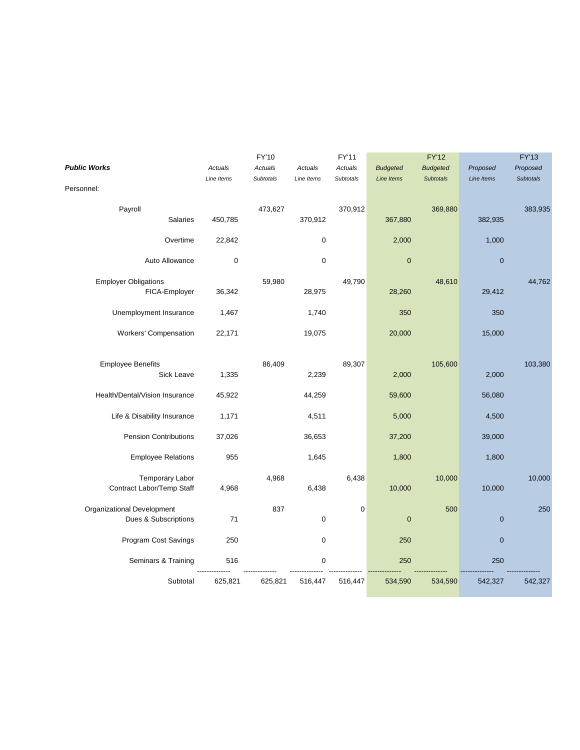|                                |             | FY'10            |                  | FY'11     |                   | <b>FY'12</b>     |             | <b>FY'13</b>     |
|--------------------------------|-------------|------------------|------------------|-----------|-------------------|------------------|-------------|------------------|
| <b>Public Works</b>            | Actuals     | Actuals          | Actuals          | Actuals   | <b>Budgeted</b>   | <b>Budgeted</b>  | Proposed    | Proposed         |
|                                | Line Items  | <b>Subtotals</b> | Line Items       | Subtotals | <b>Line Items</b> | <b>Subtotals</b> | Line Items  | <b>Subtotals</b> |
| Personnel:                     |             |                  |                  |           |                   |                  |             |                  |
| Payroll                        |             | 473,627          |                  | 370,912   |                   | 369,880          |             | 383,935          |
| Salaries                       | 450,785     |                  | 370,912          |           | 367,880           |                  | 382,935     |                  |
| Overtime                       | 22,842      |                  | $\boldsymbol{0}$ |           | 2,000             |                  | 1,000       |                  |
| Auto Allowance                 | $\mathbf 0$ |                  | $\mathbf 0$      |           | $\pmb{0}$         |                  | $\pmb{0}$   |                  |
| <b>Employer Obligations</b>    |             | 59,980           |                  | 49,790    |                   | 48,610           |             | 44,762           |
| FICA-Employer                  | 36,342      |                  | 28,975           |           | 28,260            |                  | 29,412      |                  |
| Unemployment Insurance         | 1,467       |                  | 1,740            |           | 350               |                  | 350         |                  |
| Workers' Compensation          | 22,171      |                  | 19,075           |           | 20,000            |                  | 15,000      |                  |
|                                |             |                  |                  |           |                   |                  |             |                  |
| <b>Employee Benefits</b>       |             | 86,409           |                  | 89,307    |                   | 105,600          |             | 103,380          |
| Sick Leave                     | 1,335       |                  | 2,239            |           | 2,000             |                  | 2,000       |                  |
| Health/Dental/Vision Insurance | 45,922      |                  | 44,259           |           | 59,600            |                  | 56,080      |                  |
| Life & Disability Insurance    | 1,171       |                  | 4,511            |           | 5,000             |                  | 4,500       |                  |
| <b>Pension Contributions</b>   | 37,026      |                  | 36,653           |           | 37,200            |                  | 39,000      |                  |
| <b>Employee Relations</b>      | 955         |                  | 1,645            |           | 1,800             |                  | 1,800       |                  |
| <b>Temporary Labor</b>         |             | 4,968            |                  | 6,438     |                   | 10,000           |             | 10,000           |
| Contract Labor/Temp Staff      | 4,968       |                  | 6,438            |           | 10,000            |                  | 10,000      |                  |
| Organizational Development     |             | 837              |                  | 0         |                   | 500              |             | 250              |
| Dues & Subscriptions           | 71          |                  | $\mathbf 0$      |           | $\pmb{0}$         |                  | $\pmb{0}$   |                  |
| Program Cost Savings           | 250         |                  | $\mathbf 0$      |           | 250               |                  | $\mathbf 0$ |                  |
| Seminars & Training            | 516         |                  | $\pmb{0}$        |           | 250               |                  | 250         |                  |
|                                |             |                  |                  |           |                   |                  |             |                  |
| Subtotal                       | 625,821     | 625,821          | 516,447          | 516,447   | 534,590           | 534,590          | 542,327     | 542,327          |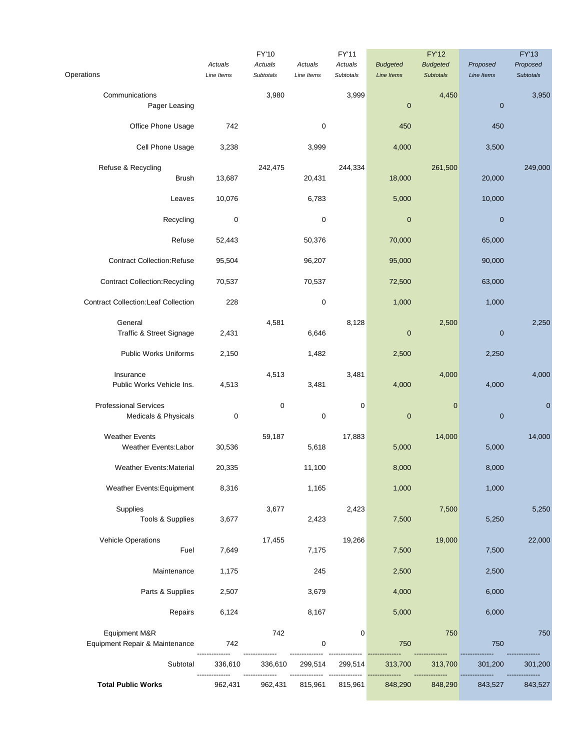|                                                      |                       | FY'10                |                       | <b>FY'11</b>         |                                      | <b>FY'12</b>                        |                        | <b>FY'13</b>                 |
|------------------------------------------------------|-----------------------|----------------------|-----------------------|----------------------|--------------------------------------|-------------------------------------|------------------------|------------------------------|
| Operations                                           | Actuals<br>Line Items | Actuals<br>Subtotals | Actuals<br>Line Items | Actuals<br>Subtotals | <b>Budgeted</b><br><b>Line Items</b> | <b>Budgeted</b><br><b>Subtotals</b> | Proposed<br>Line Items | Proposed<br><b>Subtotals</b> |
| Communications<br>Pager Leasing                      |                       | 3,980                |                       | 3,999                | $\mathbf 0$                          | 4,450                               | $\theta$               | 3,950                        |
| Office Phone Usage                                   | 742                   |                      | 0                     |                      | 450                                  |                                     | 450                    |                              |
| Cell Phone Usage                                     | 3,238                 |                      | 3,999                 |                      | 4,000                                |                                     | 3,500                  |                              |
|                                                      |                       |                      |                       |                      |                                      |                                     |                        |                              |
| Refuse & Recycling<br><b>Brush</b>                   | 13,687                | 242,475              | 20,431                | 244,334              | 18,000                               | 261,500                             | 20,000                 | 249,000                      |
| Leaves                                               | 10,076                |                      | 6,783                 |                      | 5,000                                |                                     | 10,000                 |                              |
| Recycling                                            | 0                     |                      | 0                     |                      | $\mathbf 0$                          |                                     | $\mathbf 0$            |                              |
| Refuse                                               | 52,443                |                      | 50,376                |                      | 70,000                               |                                     | 65,000                 |                              |
| <b>Contract Collection: Refuse</b>                   | 95,504                |                      | 96,207                |                      | 95,000                               |                                     | 90,000                 |                              |
| <b>Contract Collection: Recycling</b>                | 70,537                |                      | 70,537                |                      | 72,500                               |                                     | 63,000                 |                              |
| <b>Contract Collection:Leaf Collection</b>           | 228                   |                      | $\pmb{0}$             |                      | 1,000                                |                                     | 1,000                  |                              |
| General<br>Traffic & Street Signage                  | 2,431                 | 4,581                | 6,646                 | 8,128                | 0                                    | 2,500                               | $\theta$               | 2,250                        |
| <b>Public Works Uniforms</b>                         | 2,150                 |                      | 1,482                 |                      | 2,500                                |                                     | 2,250                  |                              |
| Insurance<br>Public Works Vehicle Ins.               | 4,513                 | 4,513                | 3,481                 | 3,481                | 4,000                                | 4,000                               | 4,000                  | 4,000                        |
| <b>Professional Services</b><br>Medicals & Physicals | $\pmb{0}$             | 0                    | $\pmb{0}$             | 0                    | $\pmb{0}$                            | $\bf{0}$                            | $\pmb{0}$              | $\mathbf{0}$                 |
| <b>Weather Events</b><br><b>Weather Events:Labor</b> | 30,536                | 59,187               | 5,618                 | 17,883               | 5,000                                | 14,000                              | 5,000                  | 14,000                       |
| <b>Weather Events: Material</b>                      | 20,335                |                      | 11,100                |                      | 8,000                                |                                     | 8,000                  |                              |
| Weather Events: Equipment                            | 8,316                 |                      | 1,165                 |                      | 1,000                                |                                     | 1,000                  |                              |
| Supplies<br>Tools & Supplies                         | 3,677                 | 3,677                | 2,423                 | 2,423                | 7,500                                | 7,500                               | 5,250                  | 5,250                        |
| <b>Vehicle Operations</b><br>Fuel                    | 7,649                 | 17,455               | 7,175                 | 19,266               | 7,500                                | 19,000                              | 7,500                  | 22,000                       |
| Maintenance                                          | 1,175                 |                      | 245                   |                      | 2,500                                |                                     | 2,500                  |                              |
| Parts & Supplies                                     | 2,507                 |                      | 3,679                 |                      | 4,000                                |                                     | 6,000                  |                              |
| Repairs                                              | 6,124                 |                      | 8,167                 |                      | 5,000                                |                                     | 6,000                  |                              |
| Equipment M&R<br>Equipment Repair & Maintenance      | 742                   | 742                  | 0                     | 0                    | 750                                  | 750                                 | 750                    | 750                          |
| Subtotal                                             | 336,610               | 336,610              | 299,514               | 299,514              | 313,700                              | 313,700                             | 301,200                | 301,200                      |
| <b>Total Public Works</b>                            | 962,431               | 962,431              | 815,961               | 815,961              | 848,290                              | 848,290                             | 843,527                | 843,527                      |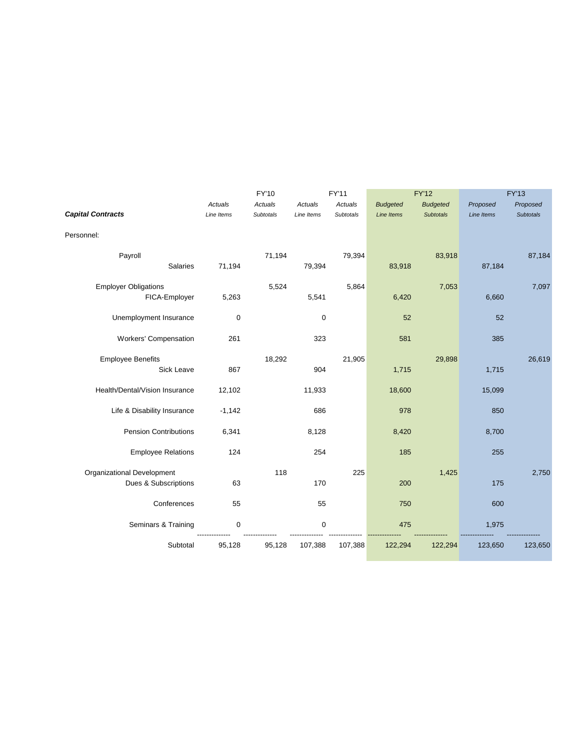|                                              |             | FY'10            |            | FY'11     |                 | <b>FY'12</b>     |            | <b>FY'13</b>     |
|----------------------------------------------|-------------|------------------|------------|-----------|-----------------|------------------|------------|------------------|
|                                              | Actuals     | Actuals          | Actuals    | Actuals   | <b>Budgeted</b> | <b>Budgeted</b>  | Proposed   | Proposed         |
| <b>Capital Contracts</b>                     | Line Items  | <b>Subtotals</b> | Line Items | Subtotals | Line Items      | <b>Subtotals</b> | Line Items | <b>Subtotals</b> |
| Personnel:                                   |             |                  |            |           |                 |                  |            |                  |
| Payroll<br><b>Salaries</b>                   | 71,194      | 71,194           | 79,394     | 79,394    | 83,918          | 83,918           | 87,184     | 87,184           |
| <b>Employer Obligations</b><br>FICA-Employer | 5,263       | 5,524            | 5,541      | 5,864     | 6,420           | 7,053            | 6,660      | 7,097            |
| Unemployment Insurance                       | $\mathbf 0$ |                  | 0          |           | 52              |                  | 52         |                  |
| <b>Workers' Compensation</b>                 | 261         |                  | 323        |           | 581             |                  | 385        |                  |
| <b>Employee Benefits</b><br>Sick Leave       | 867         | 18,292           | 904        | 21,905    | 1,715           | 29,898           | 1,715      | 26,619           |
| Health/Dental/Vision Insurance               | 12,102      |                  | 11,933     |           | 18,600          |                  | 15,099     |                  |
| Life & Disability Insurance                  | $-1,142$    |                  | 686        |           | 978             |                  | 850        |                  |
| <b>Pension Contributions</b>                 | 6,341       |                  | 8,128      |           | 8,420           |                  | 8,700      |                  |
| <b>Employee Relations</b>                    | 124         |                  | 254        |           | 185             |                  | 255        |                  |
| Organizational Development                   |             | 118              |            | 225       |                 | 1,425            |            | 2,750            |
| Dues & Subscriptions                         | 63          |                  | 170        |           | 200             |                  | 175        |                  |
| Conferences                                  | 55          |                  | 55         |           | 750             |                  | 600        |                  |
| Seminars & Training                          | 0           |                  | 0          |           | 475             |                  | 1,975      |                  |
| Subtotal                                     | 95,128      | 95,128           | 107,388    | 107,388   | 122,294         | 122,294          | 123,650    | 123,650          |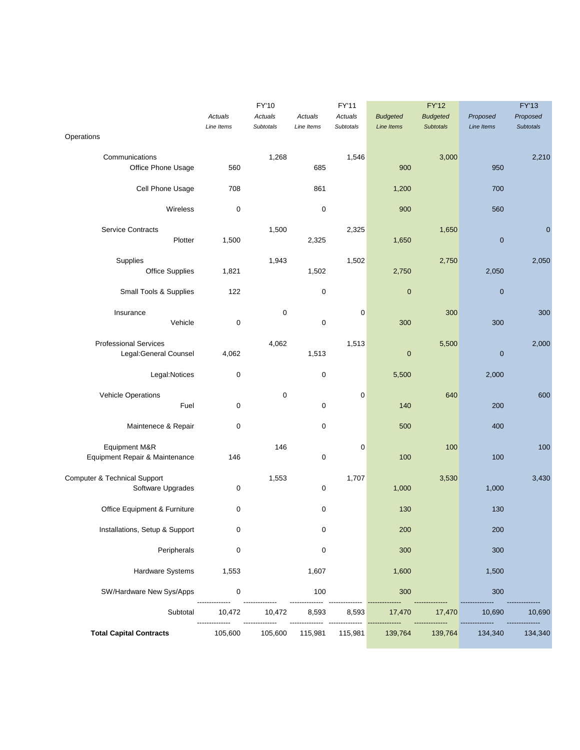|                                                        |                       | FY'10                |                       | FY'11                |                               | <b>FY'12</b>                        |                        | <b>FY'13</b>                 |
|--------------------------------------------------------|-----------------------|----------------------|-----------------------|----------------------|-------------------------------|-------------------------------------|------------------------|------------------------------|
|                                                        | Actuals<br>Line Items | Actuals<br>Subtotals | Actuals<br>Line Items | Actuals<br>Subtotals | <b>Budgeted</b><br>Line Items | <b>Budgeted</b><br><b>Subtotals</b> | Proposed<br>Line Items | Proposed<br><b>Subtotals</b> |
| Operations                                             |                       |                      |                       |                      |                               |                                     |                        |                              |
| Communications<br>Office Phone Usage                   | 560                   | 1,268                | 685                   | 1,546                | 900                           | 3,000                               | 950                    | 2,210                        |
| Cell Phone Usage                                       | 708                   |                      | 861                   |                      | 1,200                         |                                     | 700                    |                              |
| Wireless                                               | $\pmb{0}$             |                      | $\mathbf 0$           |                      | 900                           |                                     | 560                    |                              |
| <b>Service Contracts</b><br>Plotter                    | 1,500                 | 1,500                | 2,325                 | 2,325                | 1,650                         | 1,650                               | $\mathbf 0$            | $\mathbf 0$                  |
| Supplies<br><b>Office Supplies</b>                     | 1,821                 | 1,943                | 1,502                 | 1,502                | 2,750                         | 2,750                               | 2,050                  | 2,050                        |
| Small Tools & Supplies                                 | 122                   |                      | 0                     |                      | $\pmb{0}$                     |                                     | $\mathbf 0$            |                              |
| Insurance<br>Vehicle                                   | $\pmb{0}$             | 0                    | $\mathbf 0$           | $\mathbf 0$          | 300                           | 300                                 | 300                    | 300                          |
| <b>Professional Services</b><br>Legal: General Counsel | 4,062                 | 4,062                | 1,513                 | 1,513                | 0                             | 5,500                               | $\mathbf 0$            | 2,000                        |
| Legal:Notices                                          | 0                     |                      | 0                     |                      | 5,500                         |                                     | 2,000                  |                              |
| Vehicle Operations<br>Fuel                             | $\mathbf 0$           | 0                    | $\pmb{0}$             | $\mathbf 0$          | 140                           | 640                                 | 200                    | 600                          |
| Maintenece & Repair                                    | 0                     |                      | 0                     |                      | 500                           |                                     | 400                    |                              |
| Equipment M&R<br>Equipment Repair & Maintenance        | 146                   | 146                  | 0                     | $\mathbf 0$          | 100                           | 100                                 | 100                    | 100                          |
| Computer & Technical Support<br>Software Upgrades      | 0                     | 1,553                | 0                     | 1,707                | 1,000                         | 3,530                               | 1,000                  | 3,430                        |
| Office Equipment & Furniture                           | 0                     |                      | 0                     |                      | 130                           |                                     | 130                    |                              |
| Installations, Setup & Support                         | 0                     |                      | 0                     |                      | 200                           |                                     | 200                    |                              |
| Peripherals                                            | 0                     |                      | 0                     |                      | 300                           |                                     | 300                    |                              |
| Hardware Systems                                       | 1,553                 |                      | 1,607                 |                      | 1,600                         |                                     | 1,500                  |                              |
| SW/Hardware New Sys/Apps                               | $\mathbf 0$           |                      | 100                   |                      | 300                           |                                     | 300                    |                              |
| Subtotal                                               | 10,472                | 10,472               | 8,593                 | 8,593                | 17,470                        | 17,470                              | 10,690                 | 10,690                       |
| <b>Total Capital Contracts</b>                         | 105,600               | 105,600              | 115,981               | 115,981              | 139,764                       | 139,764                             | 134,340                | 134,340                      |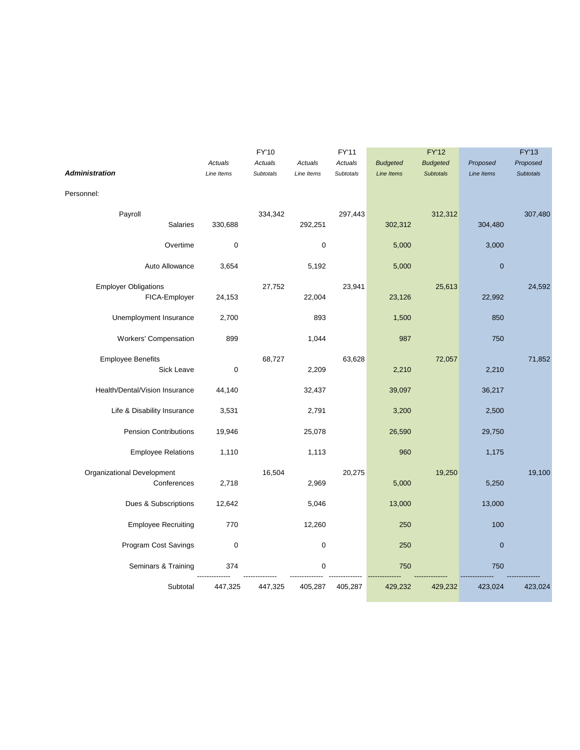|                                |                  | FY'10     |             | FY'11     |                   | <b>FY'12</b>     |                  | <b>FY'13</b>     |
|--------------------------------|------------------|-----------|-------------|-----------|-------------------|------------------|------------------|------------------|
|                                | Actuals          | Actuals   | Actuals     | Actuals   | <b>Budgeted</b>   | <b>Budgeted</b>  | Proposed         | Proposed         |
| <b>Administration</b>          | Line Items       | Subtotals | Line Items  | Subtotals | <b>Line Items</b> | <b>Subtotals</b> | Line Items       | <b>Subtotals</b> |
| Personnel:                     |                  |           |             |           |                   |                  |                  |                  |
| Payroll                        |                  | 334,342   |             | 297,443   |                   | 312,312          |                  | 307,480          |
| <b>Salaries</b>                | 330,688          |           | 292,251     |           | 302,312           |                  | 304,480          |                  |
| Overtime                       | $\boldsymbol{0}$ |           | $\pmb{0}$   |           | 5,000             |                  | 3,000            |                  |
| Auto Allowance                 | 3,654            |           | 5,192       |           | 5,000             |                  | $\pmb{0}$        |                  |
| <b>Employer Obligations</b>    |                  | 27,752    |             | 23,941    |                   | 25,613           |                  | 24,592           |
| FICA-Employer                  | 24,153           |           | 22,004      |           | 23,126            |                  | 22,992           |                  |
| Unemployment Insurance         | 2,700            |           | 893         |           | 1,500             |                  | 850              |                  |
| Workers' Compensation          | 899              |           | 1,044       |           | 987               |                  | 750              |                  |
| <b>Employee Benefits</b>       |                  | 68,727    |             | 63,628    |                   | 72,057           |                  | 71,852           |
| Sick Leave                     | $\mathbf 0$      |           | 2,209       |           | 2,210             |                  | 2,210            |                  |
| Health/Dental/Vision Insurance | 44,140           |           | 32,437      |           | 39,097            |                  | 36,217           |                  |
| Life & Disability Insurance    | 3,531            |           | 2,791       |           | 3,200             |                  | 2,500            |                  |
| <b>Pension Contributions</b>   | 19,946           |           | 25,078      |           | 26,590            |                  | 29,750           |                  |
| <b>Employee Relations</b>      | 1,110            |           | 1,113       |           | 960               |                  | 1,175            |                  |
| Organizational Development     |                  | 16,504    |             | 20,275    |                   | 19,250           |                  | 19,100           |
| Conferences                    | 2,718            |           | 2,969       |           | 5,000             |                  | 5,250            |                  |
| Dues & Subscriptions           | 12,642           |           | 5,046       |           | 13,000            |                  | 13,000           |                  |
| <b>Employee Recruiting</b>     | 770              |           | 12,260      |           | 250               |                  | 100              |                  |
| Program Cost Savings           | $\mathbf 0$      |           | $\mathbf 0$ |           | 250               |                  | $\boldsymbol{0}$ |                  |
| Seminars & Training            | 374              |           | $\mathbf 0$ |           | 750               |                  | 750              |                  |
| Subtotal                       | 447,325          | 447,325   | 405,287     | 405,287   | 429,232           | 429,232          | 423,024          | 423,024          |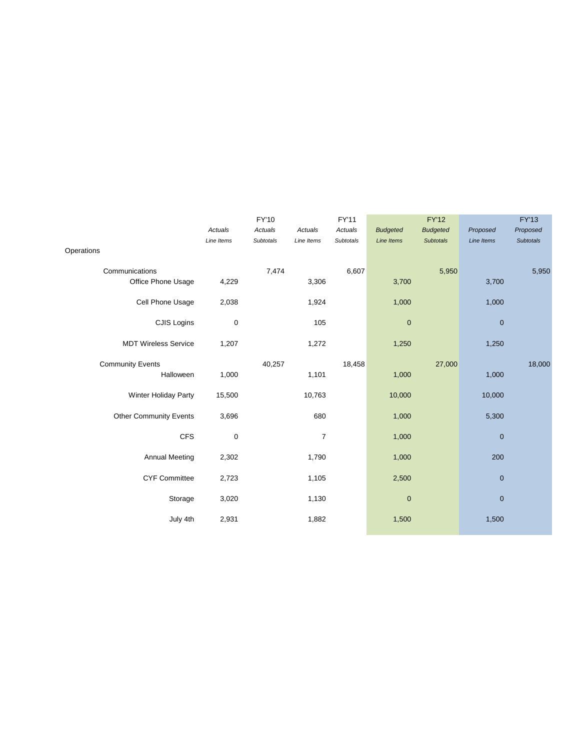|                               | FY'10      |           |                | FY'11     | <b>FY'12</b>    |                  | <b>FY'13</b> |                  |
|-------------------------------|------------|-----------|----------------|-----------|-----------------|------------------|--------------|------------------|
|                               | Actuals    | Actuals   | Actuals        | Actuals   | <b>Budgeted</b> | <b>Budgeted</b>  | Proposed     | Proposed         |
|                               | Line Items | Subtotals | Line Items     | Subtotals | Line Items      | <b>Subtotals</b> | Line Items   | <b>Subtotals</b> |
| Operations                    |            |           |                |           |                 |                  |              |                  |
| Communications                |            | 7,474     |                | 6,607     |                 | 5,950            |              | 5,950            |
| Office Phone Usage            | 4,229      |           | 3,306          |           | 3,700           |                  | 3,700        |                  |
| Cell Phone Usage              | 2,038      |           | 1,924          |           | 1,000           |                  | 1,000        |                  |
| CJIS Logins                   | $\pmb{0}$  |           | 105            |           | $\mathbf 0$     |                  | $\pmb{0}$    |                  |
| <b>MDT Wireless Service</b>   | 1,207      |           | 1,272          |           | 1,250           |                  | 1,250        |                  |
| <b>Community Events</b>       |            | 40,257    |                | 18,458    |                 | 27,000           |              | 18,000           |
| Halloween                     | 1,000      |           | 1,101          |           | 1,000           |                  | 1,000        |                  |
| Winter Holiday Party          | 15,500     |           | 10,763         |           | 10,000          |                  | 10,000       |                  |
| <b>Other Community Events</b> | 3,696      |           | 680            |           | 1,000           |                  | 5,300        |                  |
| <b>CFS</b>                    | $\pmb{0}$  |           | $\overline{7}$ |           | 1,000           |                  | $\mathbf 0$  |                  |
| <b>Annual Meeting</b>         | 2,302      |           | 1,790          |           | 1,000           |                  | 200          |                  |
| <b>CYF Committee</b>          | 2,723      |           | 1,105          |           | 2,500           |                  | $\pmb{0}$    |                  |
| Storage                       | 3,020      |           | 1,130          |           | $\mathbf 0$     |                  | $\mathbf 0$  |                  |
| July 4th                      | 2,931      |           | 1,882          |           | 1,500           |                  | 1,500        |                  |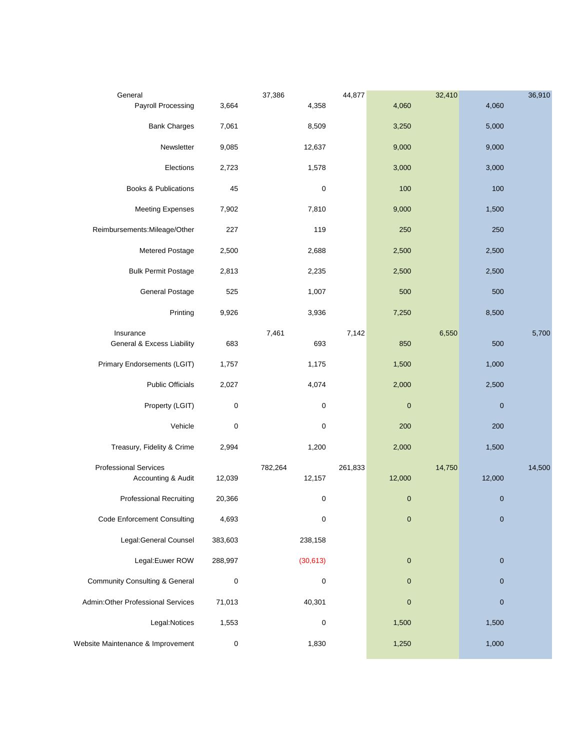| General                                   |           | 37,386    | 44,877  |           | 32,410 |                  | 36,910 |
|-------------------------------------------|-----------|-----------|---------|-----------|--------|------------------|--------|
| Payroll Processing                        | 3,664     | 4,358     |         | 4,060     |        | 4,060            |        |
| <b>Bank Charges</b>                       | 7,061     | 8,509     |         | 3,250     |        | 5,000            |        |
| Newsletter                                | 9,085     | 12,637    |         | 9,000     |        | 9,000            |        |
| Elections                                 | 2,723     | 1,578     |         | 3,000     |        | 3,000            |        |
| <b>Books &amp; Publications</b>           | 45        | 0         |         | 100       |        | 100              |        |
| <b>Meeting Expenses</b>                   | 7,902     | 7,810     |         | 9,000     |        | 1,500            |        |
| Reimbursements: Mileage/Other             | 227       | 119       |         | 250       |        | 250              |        |
| Metered Postage                           | 2,500     | 2,688     |         | 2,500     |        | 2,500            |        |
| <b>Bulk Permit Postage</b>                | 2,813     | 2,235     |         | 2,500     |        | 2,500            |        |
| General Postage                           | 525       | 1,007     |         | 500       |        | 500              |        |
| Printing                                  | 9,926     | 3,936     |         | 7,250     |        | 8,500            |        |
| Insurance                                 |           | 7,461     | 7,142   |           | 6,550  |                  | 5,700  |
| General & Excess Liability                | 683       | 693       |         | 850       |        | 500              |        |
| Primary Endorsements (LGIT)               | 1,757     | 1,175     |         | 1,500     |        | 1,000            |        |
| <b>Public Officials</b>                   | 2,027     | 4,074     |         | 2,000     |        | 2,500            |        |
| Property (LGIT)                           | 0         | 0         |         | $\pmb{0}$ |        | $\boldsymbol{0}$ |        |
| Vehicle                                   | $\pmb{0}$ | 0         |         | 200       |        | 200              |        |
| Treasury, Fidelity & Crime                | 2,994     | 1,200     |         | 2,000     |        | 1,500            |        |
| <b>Professional Services</b>              |           | 782,264   | 261,833 |           | 14,750 |                  | 14,500 |
| Accounting & Audit                        | 12,039    | 12,157    |         | 12,000    |        | 12,000           |        |
| <b>Professional Recruiting</b>            | 20,366    | $\pmb{0}$ |         | $\pmb{0}$ |        | $\pmb{0}$        |        |
| <b>Code Enforcement Consulting</b>        | 4,693     | 0         |         | $\pmb{0}$ |        | $\pmb{0}$        |        |
| Legal: General Counsel                    | 383,603   | 238,158   |         |           |        |                  |        |
| Legal: Euwer ROW                          | 288,997   | (30, 613) |         | $\pmb{0}$ |        | $\mathbf 0$      |        |
| <b>Community Consulting &amp; General</b> | $\pmb{0}$ | 0         |         | $\pmb{0}$ |        | $\mathbf 0$      |        |
| Admin: Other Professional Services        | 71,013    | 40,301    |         | $\pmb{0}$ |        | $\mathbf 0$      |        |
| Legal:Notices                             | 1,553     | 0         |         | 1,500     |        | 1,500            |        |
| Website Maintenance & Improvement         | $\pmb{0}$ | 1,830     |         | 1,250     |        | 1,000            |        |
|                                           |           |           |         |           |        |                  |        |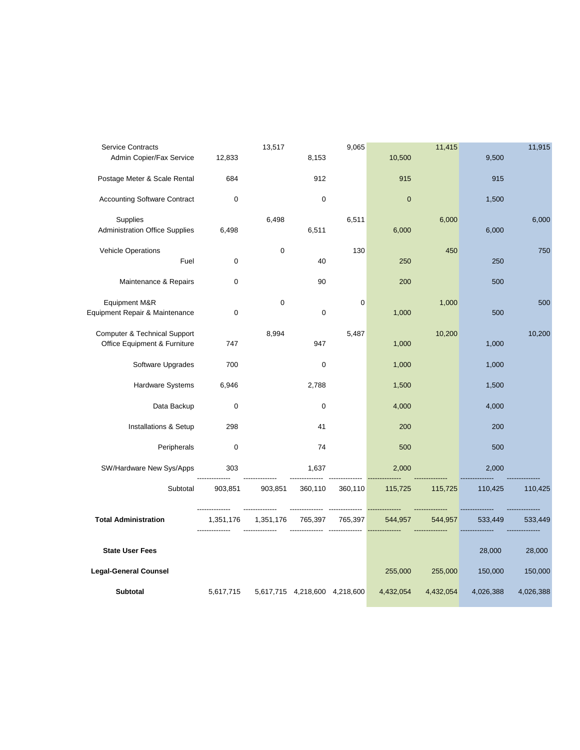| <b>Service Contracts</b>                                                |             | 13,517      |                               | 9,065   |             | 11,415    |           | 11,915    |
|-------------------------------------------------------------------------|-------------|-------------|-------------------------------|---------|-------------|-----------|-----------|-----------|
| Admin Copier/Fax Service                                                | 12,833      |             | 8,153                         |         | 10,500      |           | 9,500     |           |
| Postage Meter & Scale Rental                                            | 684         |             | 912                           |         | 915         |           | 915       |           |
| <b>Accounting Software Contract</b>                                     | $\mathbf 0$ |             | $\mathbf 0$                   |         | $\mathbf 0$ |           | 1,500     |           |
| Supplies<br><b>Administration Office Supplies</b>                       | 6,498       | 6,498       | 6,511                         | 6,511   | 6,000       | 6,000     | 6,000     | 6,000     |
| <b>Vehicle Operations</b><br>Fuel                                       | $\mathbf 0$ | $\mathbf 0$ | 40                            | 130     | 250         | 450       | 250       | 750       |
| Maintenance & Repairs                                                   | $\mathbf 0$ |             | 90                            |         | 200         |           | 500       |           |
| Equipment M&R<br>Equipment Repair & Maintenance                         | $\mathbf 0$ | $\mathbf 0$ | $\pmb{0}$                     | 0       | 1,000       | 1,000     | 500       | 500       |
| <b>Computer &amp; Technical Support</b><br>Office Equipment & Furniture | 747         | 8,994       | 947                           | 5,487   | 1,000       | 10,200    | 1,000     | 10,200    |
| Software Upgrades                                                       | 700         |             | $\mathbf 0$                   |         | 1,000       |           | 1,000     |           |
| Hardware Systems                                                        | 6,946       |             | 2,788                         |         | 1,500       |           | 1,500     |           |
| Data Backup                                                             | $\mathbf 0$ |             | $\mathbf 0$                   |         | 4,000       |           | 4,000     |           |
| Installations & Setup                                                   | 298         |             | 41                            |         | 200         |           | 200       |           |
| Peripherals                                                             | $\mathbf 0$ |             | 74                            |         | 500         |           | 500       |           |
| SW/Hardware New Sys/Apps                                                | 303         |             | 1,637                         |         | 2,000       |           | 2,000     |           |
| Subtotal                                                                | 903,851     | 903,851     | 360,110                       | 360,110 | 115,725     | 115,725   | 110,425   | 110,425   |
| <b>Total Administration</b>                                             | 1,351,176   | 1,351,176   | 765,397                       | 765,397 | 544,957     | 544,957   | 533,449   | 533,449   |
| <b>State User Fees</b>                                                  |             |             |                               |         |             |           | 28,000    | 28,000    |
| <b>Legal-General Counsel</b>                                            |             |             |                               |         | 255,000     | 255,000   | 150,000   | 150,000   |
| <b>Subtotal</b>                                                         | 5,617,715   |             | 5,617,715 4,218,600 4,218,600 |         | 4,432,054   | 4,432,054 | 4,026,388 | 4,026,388 |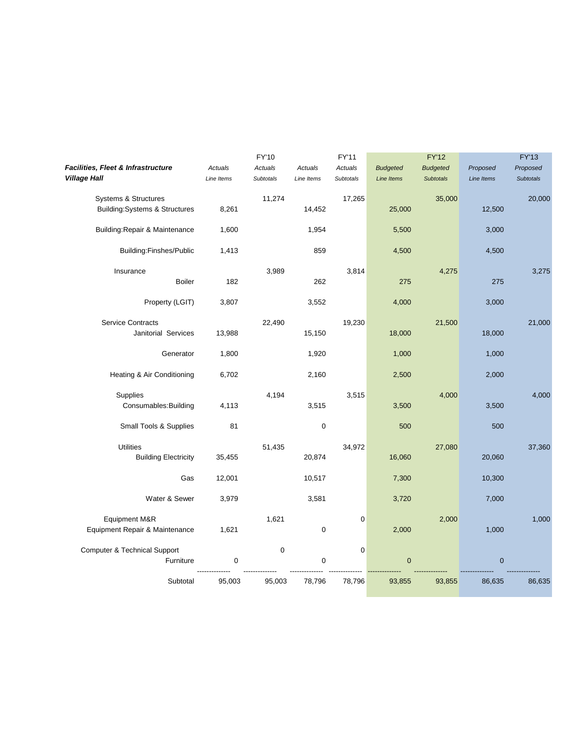|                                          |            | FY'10            |             | FY'11       |                   | <b>FY'12</b>     |             | <b>FY'13</b>     |
|------------------------------------------|------------|------------------|-------------|-------------|-------------------|------------------|-------------|------------------|
| Facilities, Fleet & Infrastructure       | Actuals    | Actuals          | Actuals     | Actuals     | <b>Budgeted</b>   | <b>Budgeted</b>  | Proposed    | Proposed         |
| <b>Village Hall</b>                      | Line Items | <b>Subtotals</b> | Line Items  | Subtotals   | <b>Line Items</b> | <b>Subtotals</b> | Line Items  | <b>Subtotals</b> |
| <b>Systems &amp; Structures</b>          |            | 11,274           |             | 17,265      |                   | 35,000           |             | 20,000           |
| <b>Building:Systems &amp; Structures</b> | 8,261      |                  | 14,452      |             | 25,000            |                  | 12,500      |                  |
| Building: Repair & Maintenance           | 1,600      |                  | 1,954       |             | 5,500             |                  | 3,000       |                  |
| Building:Finshes/Public                  | 1,413      |                  | 859         |             | 4,500             |                  | 4,500       |                  |
| Insurance                                |            | 3,989            |             | 3,814       |                   | 4,275            |             | 3,275            |
| <b>Boiler</b>                            | 182        |                  | 262         |             | 275               |                  | 275         |                  |
| Property (LGIT)                          | 3,807      |                  | 3,552       |             | 4,000             |                  | 3,000       |                  |
| <b>Service Contracts</b>                 |            | 22,490           |             | 19,230      |                   | 21,500           |             | 21,000           |
| Janitorial Services                      | 13,988     |                  | 15,150      |             | 18,000            |                  | 18,000      |                  |
| Generator                                | 1,800      |                  | 1,920       |             | 1,000             |                  | 1,000       |                  |
| Heating & Air Conditioning               | 6,702      |                  | 2,160       |             | 2,500             |                  | 2,000       |                  |
| Supplies                                 |            | 4,194            |             | 3,515       |                   | 4,000            |             | 4,000            |
| Consumables: Building                    | 4,113      |                  | 3,515       |             | 3,500             |                  | 3,500       |                  |
| Small Tools & Supplies                   | 81         |                  | $\pmb{0}$   |             | 500               |                  | 500         |                  |
| <b>Utilities</b>                         |            | 51,435           |             | 34,972      |                   | 27,080           |             | 37,360           |
| <b>Building Electricity</b>              | 35,455     |                  | 20,874      |             | 16,060            |                  | 20,060      |                  |
| Gas                                      | 12,001     |                  | 10,517      |             | 7,300             |                  | 10,300      |                  |
| Water & Sewer                            | 3,979      |                  | 3,581       |             | 3,720             |                  | 7,000       |                  |
| Equipment M&R                            |            | 1,621            |             | $\mathbf 0$ |                   | 2,000            |             | 1,000            |
| Equipment Repair & Maintenance           | 1,621      |                  | $\mathbf 0$ |             | 2,000             |                  | 1,000       |                  |
| <b>Computer &amp; Technical Support</b>  |            | $\boldsymbol{0}$ |             | $\pmb{0}$   |                   |                  |             |                  |
| Furniture                                | $\pmb{0}$  |                  | 0           |             | $\mathbf 0$       |                  | $\mathbf 0$ |                  |
| Subtotal                                 | 95,003     | 95,003           | 78,796      | 78,796      | 93,855            | 93,855           | 86,635      | 86,635           |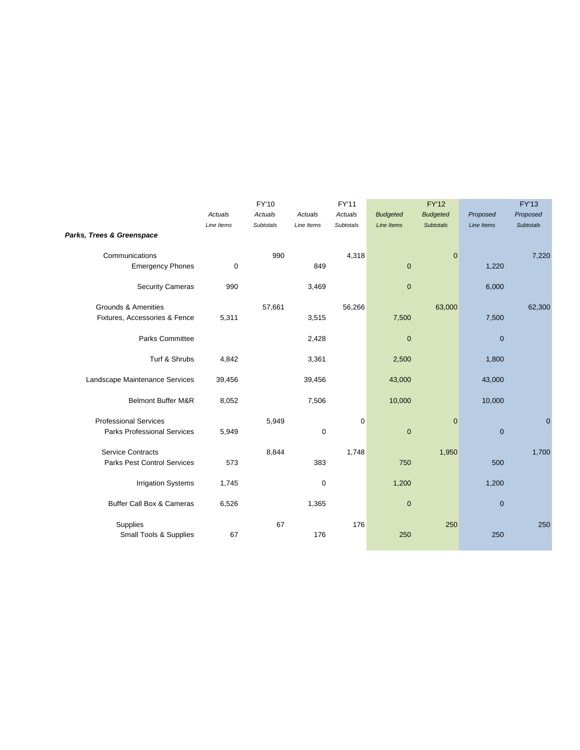|                                    | FY'10      |                  |             | FY'11            |                 | <b>FY'12</b>     | <b>FY'13</b> |                  |
|------------------------------------|------------|------------------|-------------|------------------|-----------------|------------------|--------------|------------------|
|                                    | Actuals    | Actuals          | Actuals     | Actuals          | <b>Budgeted</b> | <b>Budgeted</b>  | Proposed     | Proposed         |
|                                    | Line Items | <b>Subtotals</b> | Line Items  | <b>Subtotals</b> | Line Items      | <b>Subtotals</b> | Line Items   | <b>Subtotals</b> |
| Parks, Trees & Greenspace          |            |                  |             |                  |                 |                  |              |                  |
| Communications                     |            | 990              |             | 4,318            |                 | $\mathbf 0$      |              | 7,220            |
| <b>Emergency Phones</b>            | 0          |                  | 849         |                  | $\mathbf 0$     |                  | 1,220        |                  |
| <b>Security Cameras</b>            | 990        |                  | 3,469       |                  | $\mathbf 0$     |                  | 6,000        |                  |
| Grounds & Amenities                |            | 57,661           |             | 56,266           |                 | 63,000           |              | 62,300           |
| Fixtures, Accessories & Fence      | 5,311      |                  | 3,515       |                  | 7,500           |                  | 7,500        |                  |
| Parks Committee                    |            |                  | 2,428       |                  | $\mathbf 0$     |                  | $\mathbf 0$  |                  |
| Turf & Shrubs                      | 4,842      |                  | 3,361       |                  | 2,500           |                  | 1,800        |                  |
| Landscape Maintenance Services     | 39,456     |                  | 39,456      |                  | 43,000          |                  | 43,000       |                  |
| <b>Belmont Buffer M&amp;R</b>      | 8,052      |                  | 7,506       |                  | 10,000          |                  | 10,000       |                  |
| <b>Professional Services</b>       |            | 5,949            |             | $\mathbf 0$      |                 | $\mathbf{0}$     |              | $\mathbf 0$      |
| <b>Parks Professional Services</b> | 5,949      |                  | $\mathbf 0$ |                  | $\pmb{0}$       |                  | $\pmb{0}$    |                  |
| <b>Service Contracts</b>           |            | 8,844            |             | 1,748            |                 | 1,950            |              | 1,700            |
| <b>Parks Pest Control Services</b> | 573        |                  | 383         |                  | 750             |                  | 500          |                  |
| <b>Irrigation Systems</b>          | 1,745      |                  | $\mathbf 0$ |                  | 1,200           |                  | 1,200        |                  |
| Buffer Call Box & Cameras          | 6,526      |                  | 1,365       |                  | $\mathbf 0$     |                  | $\pmb{0}$    |                  |
| Supplies                           |            | 67               |             | 176              |                 | 250              |              | 250              |
| <b>Small Tools &amp; Supplies</b>  | 67         |                  | 176         |                  | 250             |                  | 250          |                  |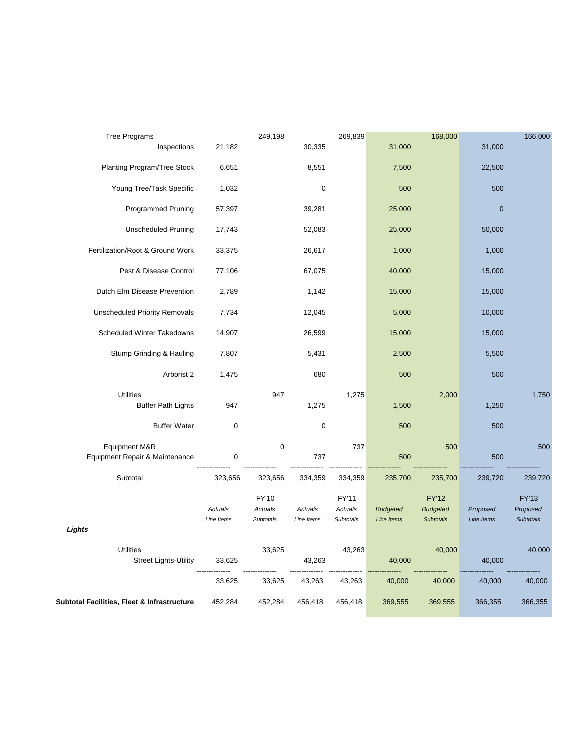| Tree Programs                                    |                       | 249,198                              |                       | 269,839                              |                               | 168,000                                             |                        | 166,000                                      |
|--------------------------------------------------|-----------------------|--------------------------------------|-----------------------|--------------------------------------|-------------------------------|-----------------------------------------------------|------------------------|----------------------------------------------|
| Inspections                                      | 21,182                |                                      | 30,335                |                                      | 31,000                        |                                                     | 31,000                 |                                              |
| Planting Program/Tree Stock                      | 6,651                 |                                      | 8,551                 |                                      | 7,500                         |                                                     | 22,500                 |                                              |
| Young Tree/Task Specific                         | 1,032                 |                                      | $\pmb{0}$             |                                      | 500                           |                                                     | 500                    |                                              |
| <b>Programmed Pruning</b>                        | 57,397                |                                      | 39,281                |                                      | 25,000                        |                                                     | $\pmb{0}$              |                                              |
| <b>Unscheduled Pruning</b>                       | 17,743                |                                      | 52,083                |                                      | 25,000                        |                                                     | 50,000                 |                                              |
| Fertilization/Root & Ground Work                 | 33,375                |                                      | 26,617                |                                      | 1,000                         |                                                     | 1,000                  |                                              |
| Pest & Disease Control                           | 77,106                |                                      | 67,075                |                                      | 40,000                        |                                                     | 15,000                 |                                              |
| Dutch Elm Disease Prevention                     | 2,789                 |                                      | 1,142                 |                                      | 15,000                        |                                                     | 15,000                 |                                              |
| <b>Unscheduled Priority Removals</b>             | 7,734                 |                                      | 12,045                |                                      | 5,000                         |                                                     | 10,000                 |                                              |
| Scheduled Winter Takedowns                       | 14,907                |                                      | 26,599                |                                      | 15,000                        |                                                     | 15,000                 |                                              |
| Stump Grinding & Hauling                         | 7,807                 |                                      | 5,431                 |                                      | 2,500                         |                                                     | 5,500                  |                                              |
| Arborist 2                                       | 1,475                 |                                      | 680                   |                                      | 500                           |                                                     | 500                    |                                              |
| <b>Utilities</b>                                 |                       | 947                                  |                       | 1,275                                |                               | 2,000                                               |                        | 1,750                                        |
| <b>Buffer Path Lights</b>                        | 947                   |                                      | 1,275                 |                                      | 1,500                         |                                                     | 1,250                  |                                              |
| <b>Buffer Water</b>                              | $\mathbf 0$           |                                      | $\pmb{0}$             |                                      | 500                           |                                                     | 500                    |                                              |
| Equipment M&R                                    |                       | $\mathbf 0$                          |                       | 737                                  |                               | 500                                                 |                        | 500                                          |
| Equipment Repair & Maintenance                   | $\mathbf 0$           |                                      | 737                   |                                      | 500                           |                                                     | 500                    |                                              |
| Subtotal                                         | 323,656               | 323,656                              | 334,359               | 334,359                              | 235,700                       | 235,700                                             | 239,720                | 239,720                                      |
|                                                  | Actuals<br>Line Items | FY'10<br>Actuals<br><b>Subtotals</b> | Actuals<br>Line Items | FY'11<br>Actuals<br><b>Subtotals</b> | <b>Budgeted</b><br>Line Items | <b>FY'12</b><br><b>Budgeted</b><br><b>Subtotals</b> | Proposed<br>Line Items | <b>FY'13</b><br>Proposed<br><b>Subtotals</b> |
| Lights                                           |                       |                                      |                       |                                      |                               |                                                     |                        |                                              |
| <b>Utilities</b><br><b>Street Lights-Utility</b> | 33,625                | 33,625                               | 43,263                | 43,263                               | 40,000                        | 40,000                                              | 40,000                 | 40,000                                       |
|                                                  | 33,625                | 33,625                               | 43,263                | 43,263                               | 40,000                        | 40,000                                              | 40,000                 | 40,000                                       |
| Subtotal Facilities, Fleet & Infrastructure      | 452,284               | 452,284                              | 456,418               | 456,418                              | 369,555                       | 369,555                                             | 366,355                | 366,355                                      |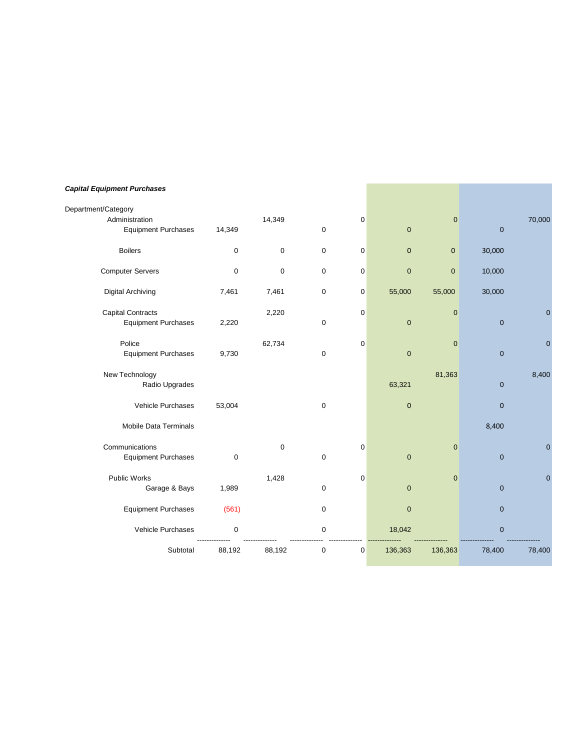## *Capital Equipment Purchases*

| Department/Category        |        |                  |             |   |              |              |              |                |
|----------------------------|--------|------------------|-------------|---|--------------|--------------|--------------|----------------|
| Administration             |        | 14,349           |             | 0 |              | $\mathbf 0$  |              | 70,000         |
| <b>Equipment Purchases</b> | 14,349 |                  | 0           |   | $\mathbf 0$  |              | $\mathbf 0$  |                |
| <b>Boilers</b>             | 0      | $\mathbf 0$      | $\mathbf 0$ | 0 | $\mathbf{0}$ | $\mathbf{0}$ | 30,000       |                |
| <b>Computer Servers</b>    | 0      | $\boldsymbol{0}$ | 0           | 0 | $\mathbf{0}$ | $\mathbf 0$  | 10,000       |                |
| <b>Digital Archiving</b>   | 7,461  | 7,461            | 0           | 0 | 55,000       | 55,000       | 30,000       |                |
| <b>Capital Contracts</b>   |        | 2,220            |             | 0 |              | $\mathbf{0}$ |              | $\overline{0}$ |
| <b>Equipment Purchases</b> | 2,220  |                  | 0           |   | $\mathbf 0$  |              | $\mathbf 0$  |                |
| Police                     |        | 62,734           |             | 0 |              | $\mathbf 0$  |              | $\mathbf 0$    |
| <b>Equipment Purchases</b> | 9,730  |                  | 0           |   | $\mathbf 0$  |              | $\mathbf 0$  |                |
| New Technology             |        |                  |             |   |              | 81,363       |              | 8,400          |
| Radio Upgrades             |        |                  |             |   | 63,321       |              | $\mathbf 0$  |                |
| Vehicle Purchases          | 53,004 |                  | $\pmb{0}$   |   | $\mathbf{0}$ |              | $\mathbf{0}$ |                |
| Mobile Data Terminals      |        |                  |             |   |              |              | 8,400        |                |
| Communications             |        | $\mathbf 0$      |             | 0 |              | $\mathbf{0}$ |              | $\overline{0}$ |
| <b>Equipment Purchases</b> | 0      |                  | 0           |   | $\mathbf 0$  |              | $\mathbf 0$  |                |
| Public Works               |        | 1,428            |             | 0 |              | $\mathbf 0$  |              | 0              |
| Garage & Bays              | 1,989  |                  | 0           |   | $\mathbf{0}$ |              | $\mathbf 0$  |                |
| <b>Equipment Purchases</b> | (561)  |                  | 0           |   | $\mathbf{0}$ |              | $\mathbf 0$  |                |
| Vehicle Purchases          | 0      |                  | 0           |   | 18,042       |              | $\mathbf 0$  |                |
| Subtotal                   | 88,192 | 88,192           | 0           | 0 | 136,363      | 136,363      | 78,400       | 78,400         |